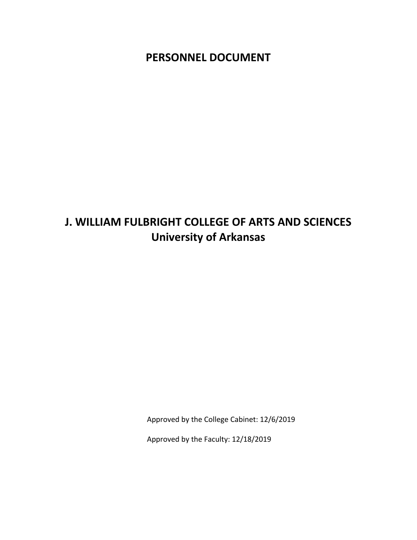**PERSONNEL DOCUMENT**

# **J. WILLIAM FULBRIGHT COLLEGE OF ARTS AND SCIENCES University of Arkansas**

Approved by the College Cabinet: 12/6/2019

Approved by the Faculty: 12/18/2019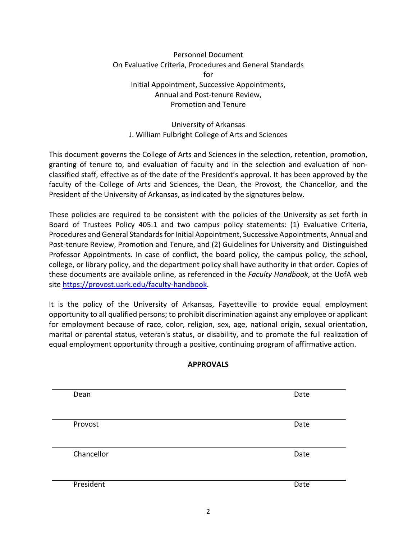# Personnel Document On Evaluative Criteria, Procedures and General Standards for Initial Appointment, Successive Appointments, Annual and Post-tenure Review, Promotion and Tenure

# University of Arkansas J. William Fulbright College of Arts and Sciences

This document governs the College of Arts and Sciences in the selection, retention, promotion, granting of tenure to, and evaluation of faculty and in the selection and evaluation of nonclassified staff, effective as of the date of the President's approval. It has been approved by the faculty of the College of Arts and Sciences, the Dean, the Provost, the Chancellor, and the President of the University of Arkansas, as indicated by the signatures below.

These policies are required to be consistent with the policies of the University as set forth in Board of Trustees Policy 405.1 and two campus policy statements: (1) Evaluative Criteria, Procedures and General Standards for Initial Appointment, Successive Appointments, Annual and Post-tenure Review, Promotion and Tenure, and (2) Guidelines for University and Distinguished Professor Appointments. In case of conflict, the board policy, the campus policy, the school, college, or library policy, and the department policy shall have authority in that order. Copies of these documents are available online, as referenced in the *Faculty Handbook*, at the UofA web site https://provost.uark.edu/faculty-handbook.

It is the policy of the University of Arkansas, Fayetteville to provide equal employment opportunity to all qualified persons; to prohibit discrimination against any employee or applicant for employment because of race, color, religion, sex, age, national origin, sexual orientation, marital or parental status, veteran's status, or disability, and to promote the full realization of equal employment opportunity through a positive, continuing program of affirmative action.

# **APPROVALS**

| Dean       | Date |
|------------|------|
|            |      |
|            |      |
| Provost    | Date |
|            |      |
|            |      |
| Chancellor | Date |
|            |      |
|            |      |
| President  | Date |
|            |      |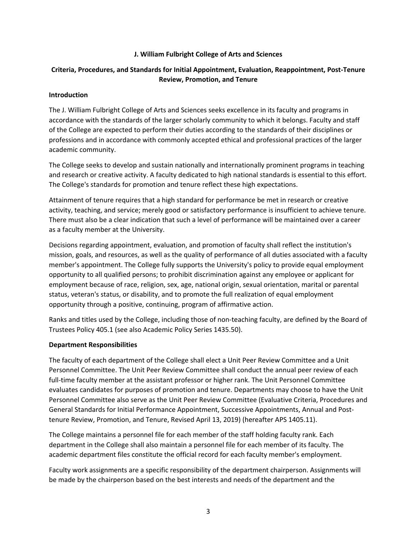#### **J. William Fulbright College of Arts and Sciences**

# **Criteria, Procedures, and Standards for Initial Appointment, Evaluation, Reappointment, Post-Tenure Review, Promotion, and Tenure**

#### **Introduction**

The J. William Fulbright College of Arts and Sciences seeks excellence in its faculty and programs in accordance with the standards of the larger scholarly community to which it belongs. Faculty and staff of the College are expected to perform their duties according to the standards of their disciplines or professions and in accordance with commonly accepted ethical and professional practices of the larger academic community.

The College seeks to develop and sustain nationally and internationally prominent programs in teaching and research or creative activity. A faculty dedicated to high national standards is essential to this effort. The College's standards for promotion and tenure reflect these high expectations.

Attainment of tenure requires that a high standard for performance be met in research or creative activity, teaching, and service; merely good or satisfactory performance is insufficient to achieve tenure. There must also be a clear indication that such a level of performance will be maintained over a career as a faculty member at the University.

Decisions regarding appointment, evaluation, and promotion of faculty shall reflect the institution's mission, goals, and resources, as well as the quality of performance of all duties associated with a faculty member's appointment. The College fully supports the University's policy to provide equal employment opportunity to all qualified persons; to prohibit discrimination against any employee or applicant for employment because of race, religion, sex, age, national origin, sexual orientation, marital or parental status, veteran's status, or disability, and to promote the full realization of equal employment opportunity through a positive, continuing, program of affirmative action.

Ranks and titles used by the College, including those of non-teaching faculty, are defined by the Board of Trustees Policy 405.1 (see also Academic Policy Series 1435.50).

#### **Department Responsibilities**

The faculty of each department of the College shall elect a Unit Peer Review Committee and a Unit Personnel Committee. The Unit Peer Review Committee shall conduct the annual peer review of each full-time faculty member at the assistant professor or higher rank. The Unit Personnel Committee evaluates candidates for purposes of promotion and tenure. Departments may choose to have the Unit Personnel Committee also serve as the Unit Peer Review Committee (Evaluative Criteria, Procedures and General Standards for Initial Performance Appointment, Successive Appointments, Annual and Posttenure Review, Promotion, and Tenure, Revised April 13, 2019) (hereafter APS 1405.11).

The College maintains a personnel file for each member of the staff holding faculty rank. Each department in the College shall also maintain a personnel file for each member of its faculty. The academic department files constitute the official record for each faculty member's employment.

Faculty work assignments are a specific responsibility of the department chairperson. Assignments will be made by the chairperson based on the best interests and needs of the department and the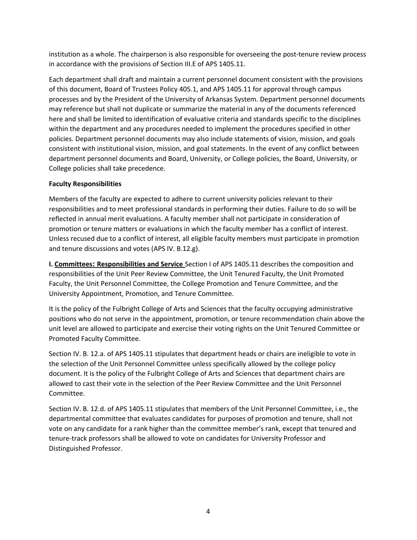institution as a whole. The chairperson is also responsible for overseeing the post-tenure review process in accordance with the provisions of Section III.E of APS 1405.11.

Each department shall draft and maintain a current personnel document consistent with the provisions of this document, Board of Trustees Policy 405.1, and APS 1405.11 for approval through campus processes and by the President of the University of Arkansas System. Department personnel documents may reference but shall not duplicate or summarize the material in any of the documents referenced here and shall be limited to identification of evaluative criteria and standards specific to the disciplines within the department and any procedures needed to implement the procedures specified in other policies. Department personnel documents may also include statements of vision, mission, and goals consistent with institutional vision, mission, and goal statements. In the event of any conflict between department personnel documents and Board, University, or College policies, the Board, University, or College policies shall take precedence.

# **Faculty Responsibilities**

Members of the faculty are expected to adhere to current university policies relevant to their responsibilities and to meet professional standards in performing their duties. Failure to do so will be reflected in annual merit evaluations. A faculty member shall not participate in consideration of promotion or tenure matters or evaluations in which the faculty member has a conflict of interest. Unless recused due to a conflict of interest, all eligible faculty members must participate in promotion and tenure discussions and votes (APS IV. B.12.g).

**I. Committees: Responsibilities and Service** Section I of APS 1405.11 describes the composition and responsibilities of the Unit Peer Review Committee, the Unit Tenured Faculty, the Unit Promoted Faculty, the Unit Personnel Committee, the College Promotion and Tenure Committee, and the University Appointment, Promotion, and Tenure Committee.

It is the policy of the Fulbright College of Arts and Sciences that the faculty occupying administrative positions who do not serve in the appointment, promotion, or tenure recommendation chain above the unit level are allowed to participate and exercise their voting rights on the Unit Tenured Committee or Promoted Faculty Committee.

Section IV. B. 12.a. of APS 1405.11 stipulates that department heads or chairs are ineligible to vote in the selection of the Unit Personnel Committee unless specifically allowed by the college policy document. It is the policy of the Fulbright College of Arts and Sciences that department chairs are allowed to cast their vote in the selection of the Peer Review Committee and the Unit Personnel Committee.

Section IV. B. 12.d. of APS 1405.11 stipulates that members of the Unit Personnel Committee, i.e., the departmental committee that evaluates candidates for purposes of promotion and tenure, shall not vote on any candidate for a rank higher than the committee member's rank, except that tenured and tenure-track professors shall be allowed to vote on candidates for University Professor and Distinguished Professor.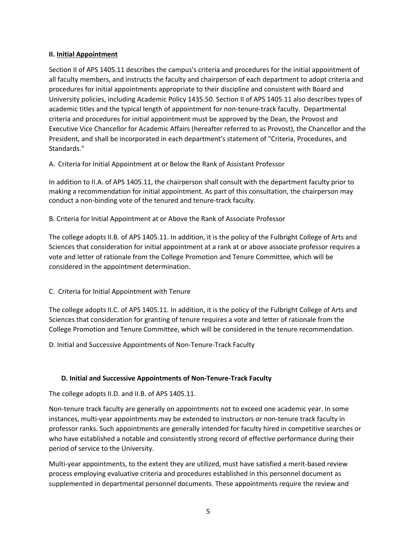#### **II. Initial Appointment**

Section II of APS 1405.11 describes the campus's criteria and procedures for the initial appointment of all faculty members, and instructs the faculty and chairperson of each department to adopt criteria and procedures for initial appointments appropriate to their discipline and consistent with Board and University policies, including Academic Policy 1435.50. Section II of APS 1405.11 also describes types of academic titles and the typical length of appointment for non-tenure-track faculty. Departmental criteria and procedures for initial appointment must be approved by the Dean, the Provost and Executive Vice Chancellor for Academic Affairs (hereafter referred to as Provost), the Chancellor and the President, and shall be incorporated in each department's statement of "Criteria, Procedures, and Standards."

A. Criteria for Initial Appointment at or Below the Rank of Assistant Professor

In addition to II.A. of APS 1405.11, the chairperson shall consult with the department faculty prior to making a recommendation for initial appointment. As part of this consultation, the chairperson may conduct a non-binding vote of the tenured and tenure-track faculty.

B. Criteria for Initial Appointment at or Above the Rank of Associate Professor

The college adopts II.B. of APS 1405.11. In addition, it is the policy of the Fulbright College of Arts and Sciences that consideration for initial appointment at a rank at or above associate professor requires a vote and letter of rationale from the College Promotion and Tenure Committee, which will be considered in the appointment determination.

# C. Criteria for Initial Appointment with Tenure

The college adopts II.C. of APS 1405.11. In addition, it is the policy of the Fulbright College of Arts and Sciences that consideration for granting of tenure requires a vote and letter of rationale from the College Promotion and Tenure Committee, which will be considered in the tenure recommendation.

D. Initial and Successive Appointments of Non-Tenure-Track Faculty

# **D. Initial and Successive Appointments of Non-Tenure-Track Faculty**

The college adopts II.D. and II.B. of APS 1405.11.

Non-tenure track faculty are generally on appointments not to exceed one academic year. In some instances, multi-year appointments may be extended to instructors or non-tenure track faculty in professor ranks. Such appointments are generally intended for faculty hired in competitive searches or who have established a notable and consistently strong record of effective performance during their period of service to the University.

Multi-year appointments, to the extent they are utilized, must have satisfied a merit-based review process employing evaluative criteria and procedures established in this personnel document as supplemented in departmental personnel documents. These appointments require the review and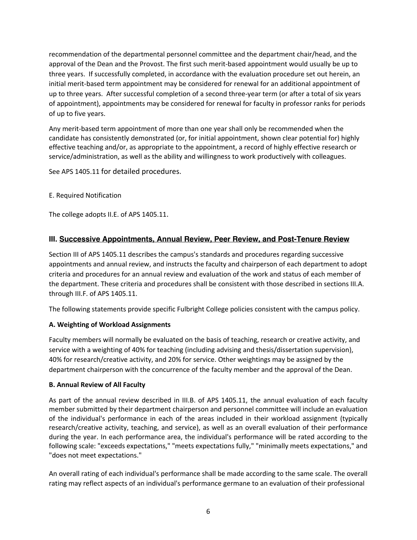recommendation of the departmental personnel committee and the department chair/head, and the approval of the Dean and the Provost. The first such merit-based appointment would usually be up to three years. If successfully completed, in accordance with the evaluation procedure set out herein, an initial merit-based term appointment may be considered for renewal for an additional appointment of up to three years. After successful completion of a second three-year term (or after a total of six years of appointment), appointments may be considered for renewal for faculty in professor ranks for periods of up to five years.

Any merit-based term appointment of more than one year shall only be recommended when the candidate has consistently demonstrated (or, for initial appointment, shown clear potential for) highly effective teaching and/or, as appropriate to the appointment, a record of highly effective research or service/administration, as well as the ability and willingness to work productively with colleagues.

See APS 1405.11 for detailed procedures.

E. Required Notification

The college adopts II.E. of APS 1405.11.

# **III. Successive Appointments, Annual Review, Peer Review, and Post-Tenure Review**

Section III of APS 1405.11 describes the campus's standards and procedures regarding successive appointments and annual review, and instructs the faculty and chairperson of each department to adopt criteria and procedures for an annual review and evaluation of the work and status of each member of the department. These criteria and procedures shall be consistent with those described in sections III.A. through III.F. of APS 1405.11.

The following statements provide specific Fulbright College policies consistent with the campus policy.

# **A. Weighting of Workload Assignments**

Faculty members will normally be evaluated on the basis of teaching, research or creative activity, and service with a weighting of 40% for teaching (including advising and thesis/dissertation supervision), 40% for research/creative activity, and 20% for service. Other weightings may be assigned by the department chairperson with the concurrence of the faculty member and the approval of the Dean.

#### **B. Annual Review of All Faculty**

As part of the annual review described in III.B. of APS 1405.11, the annual evaluation of each faculty member submitted by their department chairperson and personnel committee will include an evaluation of the individual's performance in each of the areas included in their workload assignment (typically research/creative activity, teaching, and service), as well as an overall evaluation of their performance during the year. In each performance area, the individual's performance will be rated according to the following scale: "exceeds expectations," "meets expectations fully," "minimally meets expectations," and "does not meet expectations."

An overall rating of each individual's performance shall be made according to the same scale. The overall rating may reflect aspects of an individual's performance germane to an evaluation of their professional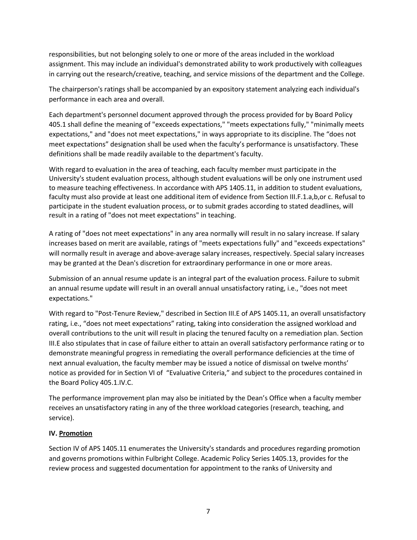responsibilities, but not belonging solely to one or more of the areas included in the workload assignment. This may include an individual's demonstrated ability to work productively with colleagues in carrying out the research/creative, teaching, and service missions of the department and the College.

The chairperson's ratings shall be accompanied by an expository statement analyzing each individual's performance in each area and overall.

Each department's personnel document approved through the process provided for by Board Policy 405.1 shall define the meaning of "exceeds expectations," "meets expectations fully," "minimally meets expectations," and "does not meet expectations," in ways appropriate to its discipline. The "does not meet expectations" designation shall be used when the faculty's performance is unsatisfactory. These definitions shall be made readily available to the department's faculty.

With regard to evaluation in the area of teaching, each faculty member must participate in the University's student evaluation process, although student evaluations will be only one instrument used to measure teaching effectiveness. In accordance with APS 1405.11, in addition to student evaluations, faculty must also provide at least one additional item of evidence from Section III.F.1.a,b,or c. Refusal to participate in the student evaluation process, or to submit grades according to stated deadlines, will result in a rating of "does not meet expectations" in teaching.

A rating of "does not meet expectations" in any area normally will result in no salary increase. If salary increases based on merit are available, ratings of "meets expectations fully" and "exceeds expectations" will normally result in average and above-average salary increases, respectively. Special salary increases may be granted at the Dean's discretion for extraordinary performance in one or more areas.

Submission of an annual resume update is an integral part of the evaluation process. Failure to submit an annual resume update will result in an overall annual unsatisfactory rating, i.e., "does not meet expectations."

With regard to "Post-Tenure Review," described in Section III.E of APS 1405.11, an overall unsatisfactory rating, i.e., "does not meet expectations" rating, taking into consideration the assigned workload and overall contributions to the unit will result in placing the tenured faculty on a remediation plan. Section III.E also stipulates that in case of failure either to attain an overall satisfactory performance rating or to demonstrate meaningful progress in remediating the overall performance deficiencies at the time of next annual evaluation, the faculty member may be issued a notice of dismissal on twelve months' notice as provided for in Section VI of "Evaluative Criteria," and subject to the procedures contained in the Board Policy 405.1.IV.C.

The performance improvement plan may also be initiated by the Dean's Office when a faculty member receives an unsatisfactory rating in any of the three workload categories (research, teaching, and service).

# **IV. Promotion**

Section IV of APS 1405.11 enumerates the University's standards and procedures regarding promotion and governs promotions within Fulbright College. Academic Policy Series 1405.13, provides for the review process and suggested documentation for appointment to the ranks of University and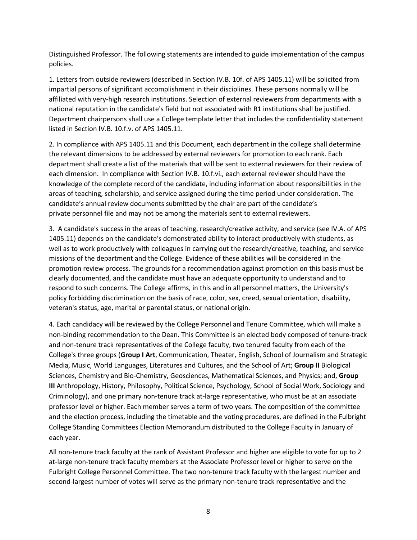Distinguished Professor. The following statements are intended to guide implementation of the campus policies.

1. Letters from outside reviewers (described in Section IV.B. 10f. of APS 1405.11) will be solicited from impartial persons of significant accomplishment in their disciplines. These persons normally will be affiliated with very-high research institutions. Selection of external reviewers from departments with a national reputation in the candidate's field but not associated with R1 institutions shall be justified. Department chairpersons shall use a College template letter that includes the confidentiality statement listed in Section IV.B. 10.f.v. of APS 1405.11.

2. In compliance with APS 1405.11 and this Document, each department in the college shall determine the relevant dimensions to be addressed by external reviewers for promotion to each rank. Each department shall create a list of the materials that will be sent to external reviewers for their review of each dimension. In compliance with Section IV.B. 10.f.vi., each external reviewer should have the knowledge of the complete record of the candidate, including information about responsibilities in the areas of teaching, scholarship, and service assigned during the time period under consideration. The candidate's annual review documents submitted by the chair are part of the candidate's private personnel file and may not be among the materials sent to external reviewers.

3. A candidate's success in the areas of teaching, research/creative activity, and service (see IV.A. of APS 1405.11) depends on the candidate's demonstrated ability to interact productively with students, as well as to work productively with colleagues in carrying out the research/creative, teaching, and service missions of the department and the College. Evidence of these abilities will be considered in the promotion review process. The grounds for a recommendation against promotion on this basis must be clearly documented, and the candidate must have an adequate opportunity to understand and to respond to such concerns. The College affirms, in this and in all personnel matters, the University's policy forbidding discrimination on the basis of race, color, sex, creed, sexual orientation, disability, veteran's status, age, marital or parental status, or national origin.

4. Each candidacy will be reviewed by the College Personnel and Tenure Committee, which will make a non-binding recommendation to the Dean. This Committee is an elected body composed of tenure-track and non-tenure track representatives of the College faculty, two tenured faculty from each of the College's three groups (**Group I Art**, Communication, Theater, English, School of Journalism and Strategic Media, Music, World Languages, Literatures and Cultures, and the School of Art; **Group II** Biological Sciences, Chemistry and Bio-Chemistry, Geosciences, Mathematical Sciences, and Physics; and, **Group III** Anthropology, History, Philosophy, Political Science, Psychology, School of Social Work, Sociology and Criminology), and one primary non-tenure track at-large representative, who must be at an associate professor level or higher. Each member serves a term of two years. The composition of the committee and the election process, including the timetable and the voting procedures, are defined in the Fulbright College Standing Committees Election Memorandum distributed to the College Faculty in January of each year.

All non-tenure track faculty at the rank of Assistant Professor and higher are eligible to vote for up to 2 at-large non-tenure track faculty members at the Associate Professor level or higher to serve on the Fulbright College Personnel Committee. The two non-tenure track faculty with the largest number and second-largest number of votes will serve as the primary non-tenure track representative and the